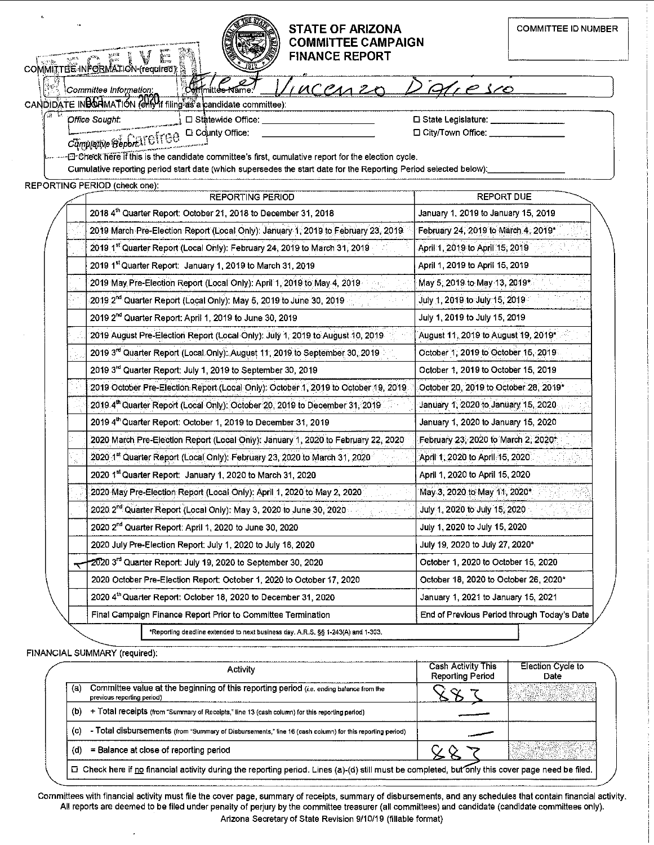## **STATE OF ARIZONA COMMITTEE CAMPAIGN FINANCE REPORT**

|                                                                                  |                                                                                                                                  | <b>FINANCE REPORT</b><br>COMMITTEE INFORMATION (required)                                                         |                                             |  |  |  |  |
|----------------------------------------------------------------------------------|----------------------------------------------------------------------------------------------------------------------------------|-------------------------------------------------------------------------------------------------------------------|---------------------------------------------|--|--|--|--|
|                                                                                  |                                                                                                                                  | UCCANZ<br>Committee Information:                                                                                  | Aresco                                      |  |  |  |  |
|                                                                                  |                                                                                                                                  | CANDIDATE INBOAMATION (CHIVIt filing as a candidate committee):                                                   |                                             |  |  |  |  |
| Office Sought:<br>□ Statewide Office:<br>□ State Legislature: ____               |                                                                                                                                  |                                                                                                                   |                                             |  |  |  |  |
| □ City/Town Office: _____<br>□ County Office:                                    |                                                                                                                                  |                                                                                                                   |                                             |  |  |  |  |
|                                                                                  | Campletive Beport AT CTTCC<br>E Check here if this is the candidate committee's first, cumulative report for the election cycle. |                                                                                                                   |                                             |  |  |  |  |
|                                                                                  |                                                                                                                                  | Cumulative reporting period start date (which supersedes the start date for the Reporting Period selected below): |                                             |  |  |  |  |
|                                                                                  |                                                                                                                                  | REPORTING PERIOD (check one):                                                                                     |                                             |  |  |  |  |
|                                                                                  |                                                                                                                                  | <b>REPORTING PERIOD</b>                                                                                           | <b>REPORT DUE</b>                           |  |  |  |  |
|                                                                                  |                                                                                                                                  | 2018 4th Quarter Report: October 21, 2018 to December 31, 2018                                                    | January 1, 2019 to January 15, 2019         |  |  |  |  |
|                                                                                  |                                                                                                                                  | 2019 March Pre-Election Report (Local Only): January 1, 2019 to February 23, 2019                                 | February 24, 2019 to March 4, 2019*         |  |  |  |  |
|                                                                                  |                                                                                                                                  | 2019 1st Quarter Report (Local Only): February 24, 2019 to March 31, 2019                                         | April 1, 2019 to April 15, 2019             |  |  |  |  |
|                                                                                  |                                                                                                                                  | 2019 1st Quarter Report: January 1, 2019 to March 31, 2019                                                        | April 1, 2019 to April 15, 2019             |  |  |  |  |
|                                                                                  |                                                                                                                                  | 2019 May Pre-Election Report (Local Only): April 1, 2019 to May 4, 2019-                                          | May 5, 2019 to May 13, 2019*                |  |  |  |  |
|                                                                                  |                                                                                                                                  | 2019 2 <sup>nd</sup> Quarter Report (Local Only): May 5, 2019 to June 30, 2019                                    | July 1, 2019 to July 15, 2019               |  |  |  |  |
|                                                                                  |                                                                                                                                  | 2019 2 <sup>nd</sup> Quarter Report: April 1, 2019 to June 30, 2019                                               | July 1, 2019 to July 15, 2019               |  |  |  |  |
|                                                                                  |                                                                                                                                  | 2019 August Pre-Election Report (Local Only): July 1, 2019 to August 10, 2019                                     | August 11, 2019 to August 19, 2019*         |  |  |  |  |
|                                                                                  |                                                                                                                                  | 2019 3 <sup>rd</sup> Quarter Report (Local Only): August 11, 2019 to September 30, 2019                           | October 1, 2019 to October 15, 2019.        |  |  |  |  |
|                                                                                  |                                                                                                                                  | 2019 3rd Quarter Report: July 1, 2019 to September 30, 2019                                                       | October 1, 2019 to October 15, 2019         |  |  |  |  |
|                                                                                  |                                                                                                                                  | 2019 October Pre-Election Report (Local Only): October 1, 2019 to October 19, 2019                                | October 20, 2019 to October 28, 2019*       |  |  |  |  |
|                                                                                  |                                                                                                                                  | 2019 4th Quarter Report (Local Only): October 20, 2019 to December 31, 2019                                       | January 1, 2020 to January 15, 2020         |  |  |  |  |
|                                                                                  |                                                                                                                                  | 2019 4th Quarter Report: October 1, 2019 to December 31, 2019                                                     | January 1, 2020 to January 15, 2020         |  |  |  |  |
|                                                                                  |                                                                                                                                  | 2020 March Pre-Election Report (Local Only): January 1, 2020 to February 22, 2020                                 | February 23, 2020 to March 2, 2020.         |  |  |  |  |
|                                                                                  |                                                                                                                                  | 2020 1st Quarter Report (Local Only): February 23, 2020 to March 31, 2020                                         | April 1, 2020 to April 15, 2020             |  |  |  |  |
|                                                                                  |                                                                                                                                  | 2020 1st Quarter Report: January 1, 2020 to March 31, 2020                                                        | April 1, 2020 to April 15, 2020             |  |  |  |  |
|                                                                                  |                                                                                                                                  | 2020 May Pre-Election Report (Local Only): April 1, 2020 to May 2, 2020                                           | May 3, 2020 to May 11, 2020*                |  |  |  |  |
|                                                                                  |                                                                                                                                  | 2020 2 <sup>nd</sup> Quarter Report (Local Only): May 3, 2020 to June 30, 2020                                    | July 1, 2020 to July 15, 2020               |  |  |  |  |
|                                                                                  |                                                                                                                                  | 2020 2 <sup>nd</sup> Quarter Report: April 1, 2020 to June 30, 2020                                               | July 1, 2020 to July 15, 2020               |  |  |  |  |
|                                                                                  |                                                                                                                                  | 2020 July Pre-Election Report: July 1, 2020 to July 18, 2020                                                      | July 19, 2020 to July 27, 2020*             |  |  |  |  |
|                                                                                  |                                                                                                                                  | 2020 3 <sup>rd</sup> Quarter Report: July 19, 2020 to September 30, 2020                                          | October 1, 2020 to October 15, 2020         |  |  |  |  |
|                                                                                  |                                                                                                                                  | 2020 October Pre-Election Report: October 1, 2020 to October 17, 2020                                             | October 18, 2020 to October 26, 2020*       |  |  |  |  |
|                                                                                  |                                                                                                                                  | 2020 4th Quarter Report: October 18, 2020 to December 31, 2020                                                    | January 1, 2021 to January 15, 2021         |  |  |  |  |
|                                                                                  |                                                                                                                                  | Final Campaign Finance Report Prior to Committee Termination                                                      | End of Previous Period through Today's Date |  |  |  |  |
| *Reporting deadline extended to next business day. A.R.S. §§ 1-243(A) and 1-303. |                                                                                                                                  |                                                                                                                   |                                             |  |  |  |  |
|                                                                                  |                                                                                                                                  |                                                                                                                   |                                             |  |  |  |  |

FINANCIAL SUMMARY (required):

 $\bar{z}$ 

 $\epsilon$ 

|                                                                                                                                                   | Activity                                                                                                              | Cash Activity This<br><b>Reporting Period</b> | Election Cycle to<br>Date |
|---------------------------------------------------------------------------------------------------------------------------------------------------|-----------------------------------------------------------------------------------------------------------------------|-----------------------------------------------|---------------------------|
| (a)                                                                                                                                               | Committee value at the beginning of this reporting period (i.e. ending balance from the<br>previous reporting period) |                                               |                           |
| (b)                                                                                                                                               | + Total receipts (from "Summary of Receipts," line 13 (cash column) for this reporting period)                        |                                               |                           |
| (C)                                                                                                                                               | - Total disbursements (from "Summary of Disbursements," line 16 (cash column) for this reporting period)              |                                               |                           |
| (d)                                                                                                                                               | = Balance at close of reporting period                                                                                |                                               |                           |
| □ Check here if no financial activity during the reporting period. Lines (a)-(d) still must be completed, but only this cover page need be filed. |                                                                                                                       |                                               |                           |

Committees with financial activity must file the cover page, summary of receipts, summary of disbursements, and any schedules that contain financial activity. All reports are deemed to be filed under penalty of perjury by the committee treasurer (all committees) and candidate (candidate committees only). Arizona Secretary of State Revision 9/10/19 (fillable format)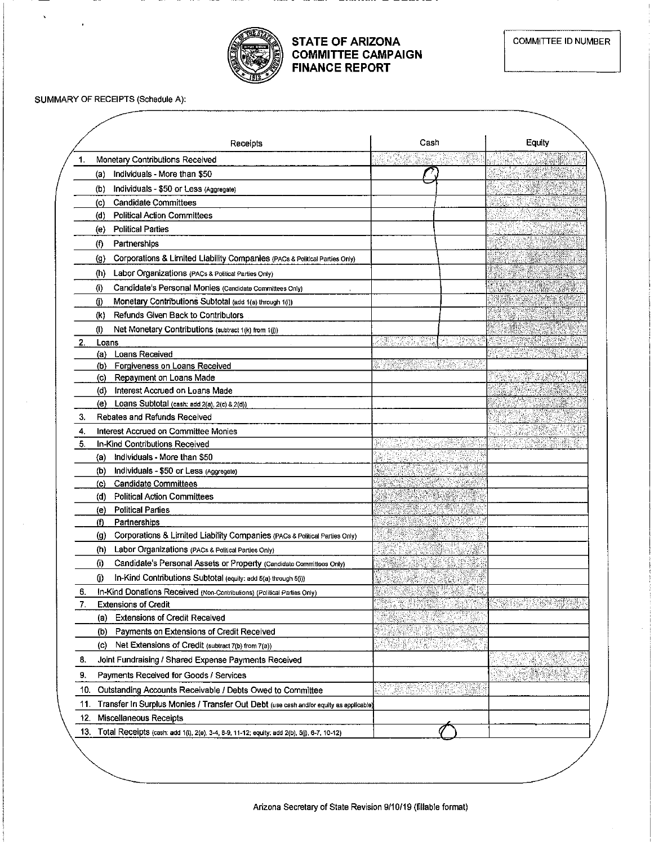

## **STATE OF ARIZONA COMMITTEE CAMPAIGN FINANCE REPORT**

SUMMARY OF RECEIPTS (Schedule A):

|     | Receipts                                                                                   | Cash                           | Equity             |  |
|-----|--------------------------------------------------------------------------------------------|--------------------------------|--------------------|--|
| 1.  | Monetary Contributions Received                                                            |                                |                    |  |
|     | Individuals - More than \$50<br>(a)                                                        |                                |                    |  |
|     | (b)<br>Individuals - \$50 or Less (Aggregate)                                              |                                |                    |  |
|     | <b>Candidate Committees</b><br>(c)                                                         |                                |                    |  |
|     | (d)<br><b>Political Action Committees</b>                                                  |                                |                    |  |
|     | <b>Political Parties</b><br>(e)                                                            |                                |                    |  |
|     | $^{(1)}$<br>Partnerships                                                                   |                                |                    |  |
|     | Corporations & Limited Liability Companies (PACs & Political Parties Only)<br>(g)          |                                | <b>TERRITORIAL</b> |  |
|     | Labor Organizations (PACs & Political Parties Only)<br>(h)                                 |                                | <u>e Biologia</u>  |  |
|     | (i)<br>Candidate's Personal Monies (Candidate Committees Only)                             |                                |                    |  |
|     | Ü)<br>Monetary Contributions Subtotal (add 1(a) through 1(i))                              |                                |                    |  |
|     | Refunds Given Back to Contributors<br>(k)                                                  |                                |                    |  |
|     | (I)<br>Net Monetary Contributions (subtract 1(k) from 1(j))                                |                                |                    |  |
|     | Loans                                                                                      | BH.                            |                    |  |
|     | Loans Received<br>(a)                                                                      |                                |                    |  |
|     | Forgiveness on Loans Received<br>(b)                                                       | r Grenori (1999)               |                    |  |
|     | Repayment on Loans Made<br>(c)                                                             |                                |                    |  |
|     | Interest Accrued on Loans Made<br>(d)                                                      |                                | $5.58\%$ and       |  |
|     | Loans Subtotal (cash: add 2(a), 2(c) & 2(d))<br>(e)                                        |                                |                    |  |
| 3.  | Rebates and Refunds Received                                                               |                                |                    |  |
| 4.  | Interest Accrued on Committee Monies                                                       |                                | $5.3 - 14.8$       |  |
| 5.  | In-Kind Contributions Received                                                             |                                |                    |  |
|     | Individuals - More than \$50<br>(a)                                                        |                                |                    |  |
|     | (b)<br>Individuals - \$50 or Less (Aggregate)                                              |                                |                    |  |
|     | <b>Candidate Committees</b><br>(c)                                                         |                                |                    |  |
|     | <b>Political Action Committees</b><br>(d)                                                  | <u>Martin</u>                  |                    |  |
|     | <b>Political Parties</b><br>(e)<br>(f)<br>Partnerships                                     | SAN SAN                        |                    |  |
|     | Corporations & Limited Liability Companies (PACs & Political Parties Only)<br>(g)          |                                |                    |  |
|     | (h)<br>Labor Organizations (PACs & Political Parties Only)                                 |                                |                    |  |
|     | (i)<br>Candidate's Personal Assets or Property (Candidate Committees Only)                 |                                |                    |  |
|     | In-Kind Contributions Subtotal (equity: add 5(a) through 5(i))<br>O)                       |                                |                    |  |
| 6.  | In-Kind Donations Received (Non-Contributions) (Political Parties Only)                    | $\mathcal{M}(\mathcal{C})$     |                    |  |
| 7.  | <b>Extensions of Credit</b>                                                                | <u>Industrial Co</u>           |                    |  |
|     | <b>Extensions of Credit Received</b><br>(a)                                                |                                |                    |  |
|     | Payments on Extensions of Credit Received<br>(b)                                           |                                |                    |  |
|     | Net Extensions of Credit (subtract 7(b) from 7(a))<br>(c)                                  | <b>TEAN</b><br>iking.          |                    |  |
| 8.  | Joint Fundraising / Shared Expense Payments Received                                       |                                |                    |  |
|     |                                                                                            |                                |                    |  |
| 9.  | Payments Received for Goods / Services                                                     |                                |                    |  |
| 10. | Outstanding Accounts Receivable / Debts Owed to Committee                                  | <u>senerg</u> n<br>n d<br>a Gh |                    |  |
| 11. | Transfer In Surplus Monies / Transfer Out Debt (use cash and/or equity as applicable)      |                                |                    |  |
| 12. | Miscellaneous Receipts                                                                     |                                |                    |  |
| 13. | Total Receipts (cash: add 1(l), 2(e), 3-4, 8-9, 11-12; equity: add 2(b), 5(j), 6-7, 10-12) |                                |                    |  |